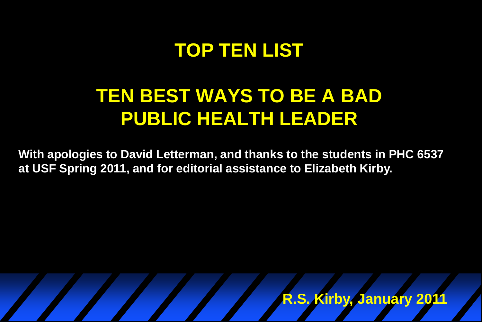#### **TOP TEN LIST**

#### **TEN BEST WAYS TO BE A BAD PUBLIC HEALTH LEADER**

**With apologies to David Letterman, and thanks to the students in PHC 6537 at USF Spring 2011, and for editorial assistance to Elizabeth Kirby.** 

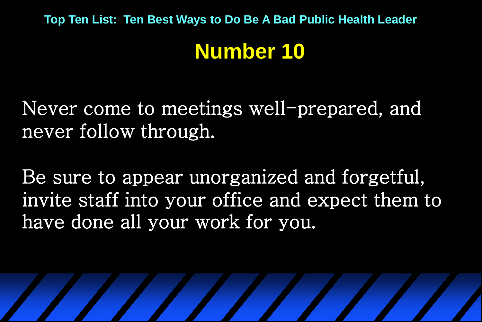### **Number 10**

Never come to meetings well-prepared, and never follow through.

Be sure to appear unorganized and forgetful, invite staff into your office and expect them to have done all your work for you.

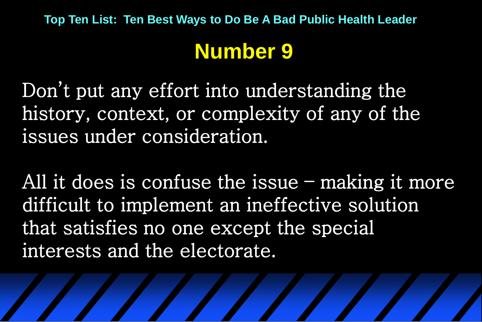### **Number 9**

Don't put any effort into understanding the history, context, or complexity of any of the issues under consideration.

All it does is confuse the issue – making it more difficult to implement an ineffective solution that satisfies no one except the special interests and the electorate.

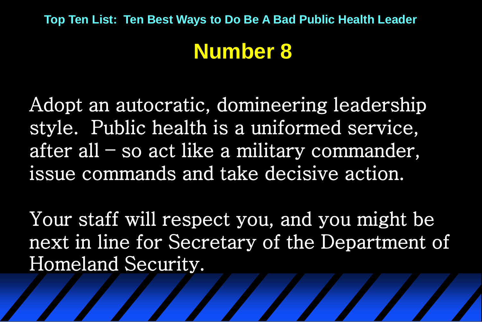#### **Number 8**

Adopt an autocratic, domineering leadership style. Public health is a uniformed service, after all – so act like a military commander, issue commands and take decisive action.

Your staff will respect you, and you might be next in line for Secretary of the Department of Homeland Security.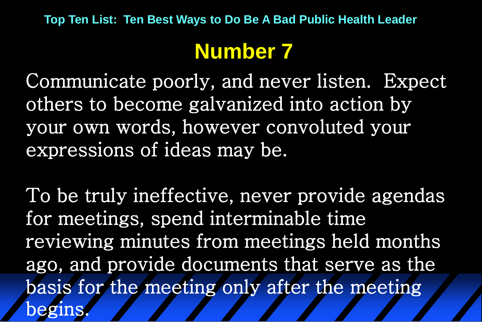## **Number 7**

Communicate poorly, and never listen. Expect others to become galvanized into action by your own words, however convoluted your expressions of ideas may be.

To be truly ineffective, never provide agendas for meetings, spend interminable time reviewing minutes from meetings held months ago, and provide documents that serve as the basis for the meeting only after the meeting begins.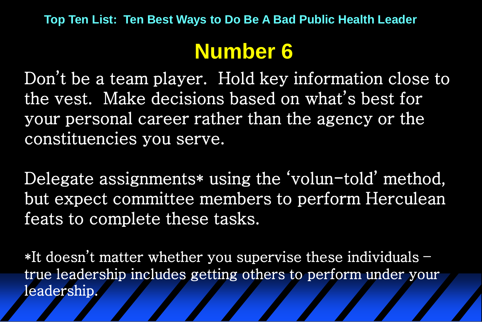# **Number 6**

Don't be a team player. Hold key information close to the vest. Make decisions based on what's best for your personal career rather than the agency or the constituencies you serve.

Delegate assignments\* using the 'volun-told' method, but expect committee members to perform Herculean feats to complete these tasks.

\*It doesn't matter whether you supervise these individuals – true leadership includes getting others to perform under your leadership.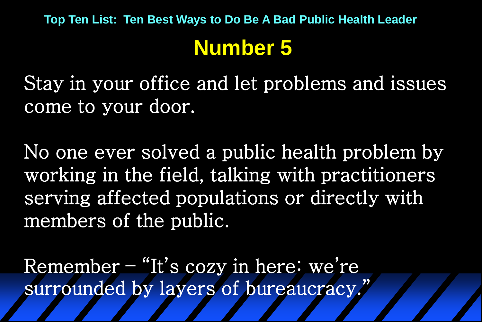Stay in your office and let problems and issues come to your door.

No one ever solved a public health problem by working in the field, talking with practitioners serving affected populations or directly with members of the public.

Remember – "It's cozy in here: we're surrounded by layers of bureaucracy."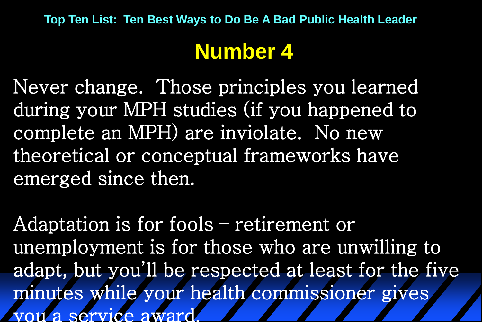# **Number 4**

Never change. Those principles you learned during your MPH studies (if you happened to complete an MPH) are inviolate. No new theoretical or conceptual frameworks have emerged since then.

Adaptation is for fools – retirement or unemployment is for those who are unwilling to adapt, but you'll be respected at least for the five minutes while your health commissioner gives you a service award.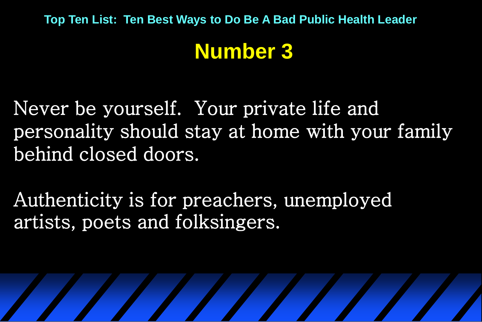#### **Number 3**

Never be yourself. Your private life and personality should stay at home with your family behind closed doors.

Authenticity is for preachers, unemployed artists, poets and folksingers.

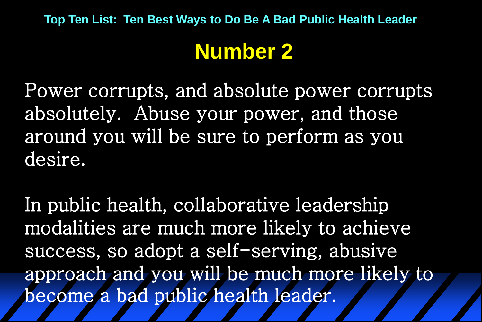### **Number 2**

Power corrupts, and absolute power corrupts absolutely. Abuse your power, and those around you will be sure to perform as you desire.

In public health, collaborative leadership modalities are much more likely to achieve success, so adopt a self-serving, abusive approach and you will be much more likely to become a bad public health leader.